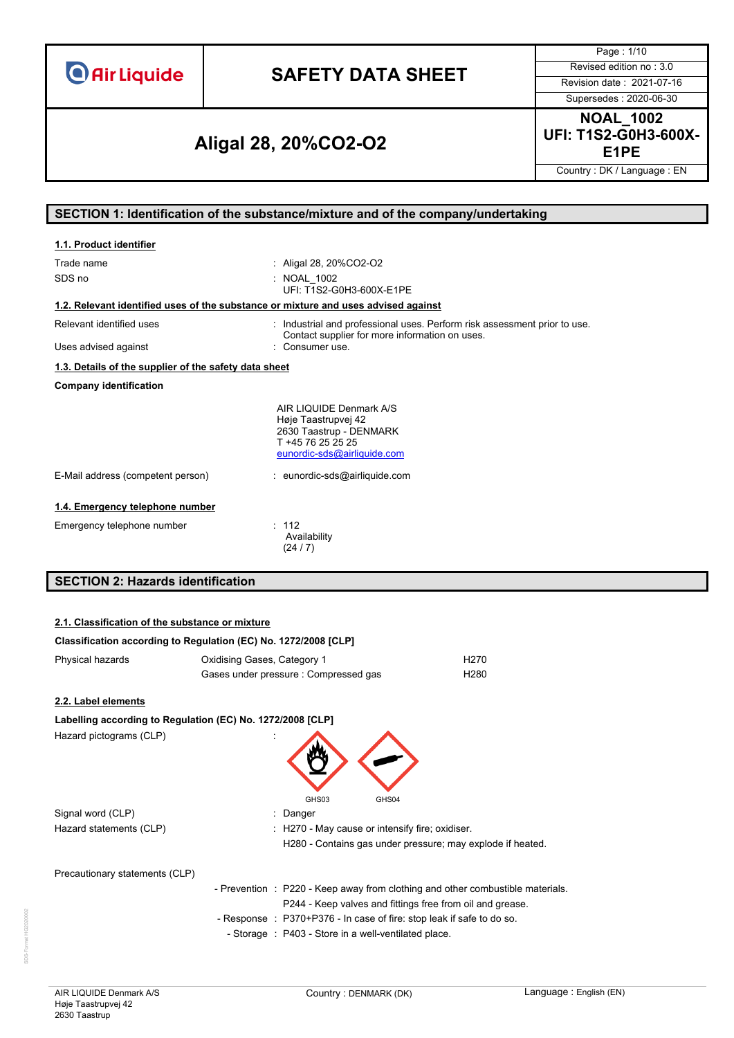# **SAFETY DATA SHEET** Revised edition no : 3.0

Page : 1/10

Supersedes : 2020-06-30

### **E1PE Aligal 28, 20%CO2-O2**

**NOAL\_1002 UFI: T1S2-G0H3-600X-**

Country : DK / Language : EN

### **SECTION 1: Identification of the substance/mixture and of the company/undertaking**

| 1.1. Product identifier                                                            |                                                                                                                               |
|------------------------------------------------------------------------------------|-------------------------------------------------------------------------------------------------------------------------------|
| Trade name<br>SDS no                                                               | : Aligal 28, 20%CO2-O2<br>: NOAL 1002<br>UFI: T1S2-G0H3-600X-E1PE                                                             |
| 1.2. Relevant identified uses of the substance or mixture and uses advised against |                                                                                                                               |
| Relevant identified uses                                                           | : Industrial and professional uses. Perform risk assessment prior to use.<br>Contact supplier for more information on uses.   |
| Uses advised against                                                               | : Consumer use.                                                                                                               |
| 1.3. Details of the supplier of the safety data sheet                              |                                                                                                                               |
| <b>Company identification</b>                                                      |                                                                                                                               |
|                                                                                    | AIR LIQUIDE Denmark A/S<br>Høje Taastrupvej 42<br>2630 Taastrup - DENMARK<br>T +45 76 25 25 25<br>eunordic-sds@airliquide.com |
| E-Mail address (competent person)                                                  | : eunordic-sds@airliquide.com                                                                                                 |
| 1.4. Emergency telephone number                                                    |                                                                                                                               |
| Emergency telephone number                                                         | : 112<br>Availability<br>(24/7)                                                                                               |
| <b>SECTION 2: Hazards identification</b>                                           |                                                                                                                               |

### **2.1. Classification of the substance or mixture**

|                                | Classification according to Regulation (EC) No. 1272/2008 [CLP]                                                                       |                  |
|--------------------------------|---------------------------------------------------------------------------------------------------------------------------------------|------------------|
| Physical hazards               | Oxidising Gases, Category 1                                                                                                           | H <sub>270</sub> |
|                                | Gases under pressure : Compressed gas                                                                                                 | H <sub>280</sub> |
| 2.2. Label elements            |                                                                                                                                       |                  |
|                                | Labelling according to Regulation (EC) No. 1272/2008 [CLP]                                                                            |                  |
| Hazard pictograms (CLP)        |                                                                                                                                       |                  |
|                                | GHS03<br>GHS04                                                                                                                        |                  |
| Signal word (CLP)              | Danger                                                                                                                                |                  |
| Hazard statements (CLP)        | : H270 - May cause or intensify fire; oxidiser.                                                                                       |                  |
|                                | H280 - Contains gas under pressure; may explode if heated.                                                                            |                  |
| Precautionary statements (CLP) |                                                                                                                                       |                  |
|                                | - Prevention : P220 - Keep away from clothing and other combustible mate<br>P244 - Keep valves and fittings free from oil and grease. |                  |
|                                | - Response : P370+P376 - In case of fire: stop leak if safe to do so.                                                                 |                  |
|                                | - Storage : P403 - Store in a well-ventilated place.                                                                                  |                  |

materials.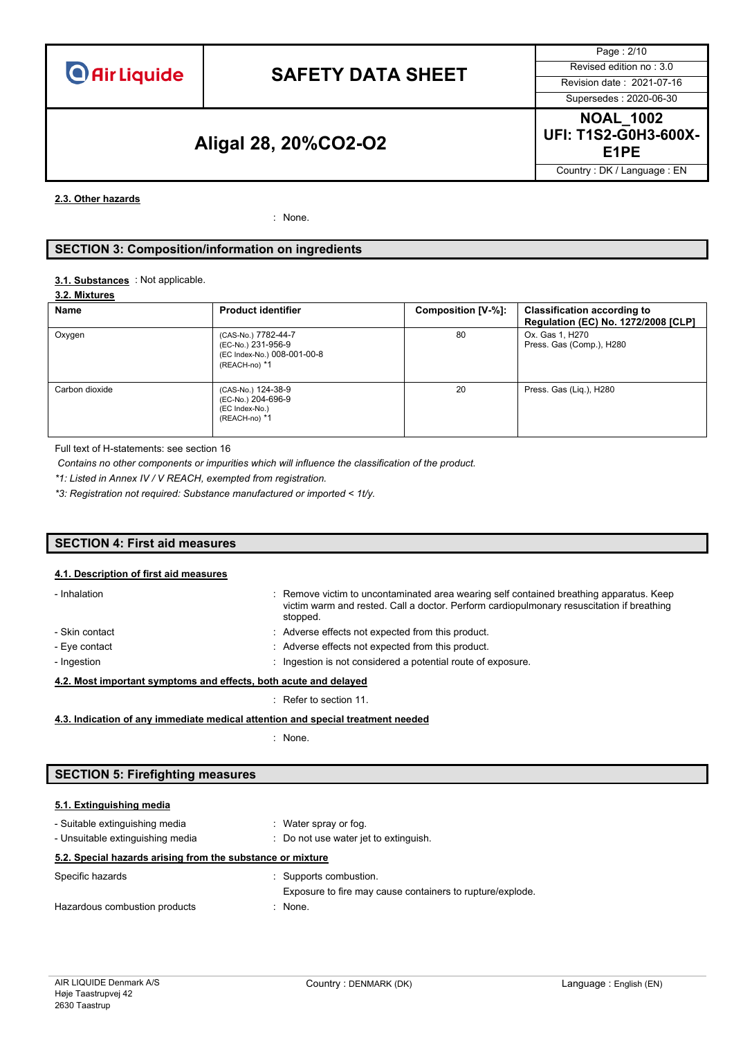### **SAFETY DATA SHEET** Revised edition no : 3.0

Page : 2/10 Supersedes : 2020-06-30

### **E1PE Aligal 28, 20%CO2-O2**

**NOAL\_1002 UFI: T1S2-G0H3-600X-**

Country : DK / Language : EN

#### **2.3. Other hazards**

: None.

#### **SECTION 3: Composition/information on ingredients**

#### : Not applicable. **3.1. Substances**

#### **3.2. Mixtures**

| Name           | <b>Product identifier</b>                                                                 | Composition [V-%]: | <b>Classification according to</b><br>Regulation (EC) No. 1272/2008 [CLP] |
|----------------|-------------------------------------------------------------------------------------------|--------------------|---------------------------------------------------------------------------|
| Oxygen         | (CAS-No.) 7782-44-7<br>(EC-No.) 231-956-9<br>(EC Index-No.) 008-001-00-8<br>(REACH-no) *1 | 80                 | Ox. Gas 1, H270<br>Press. Gas (Comp.), H280                               |
| Carbon dioxide | (CAS-No.) 124-38-9<br>(EC-No.) 204-696-9<br>(EC Index-No.)<br>(REACH-no) *1               | 20                 | Press. Gas (Liq.), H280                                                   |

Full text of H-statements: see section 16

*Contains no other components or impurities which will influence the classification of the product.*

*\*1: Listed in Annex IV / V REACH, exempted from registration.*

*\*3: Registration not required: Substance manufactured or imported < 1t/y.*

#### **SECTION 4: First aid measures**

#### **4.1. Description of first aid measures**

| - Inhalation                                                     | : Remove victim to uncontaminated area wearing self contained breathing apparatus. Keep<br>victim warm and rested. Call a doctor. Perform cardiopulmonary resuscitation if breathing<br>stopped. |  |
|------------------------------------------------------------------|--------------------------------------------------------------------------------------------------------------------------------------------------------------------------------------------------|--|
| - Skin contact                                                   | : Adverse effects not expected from this product.                                                                                                                                                |  |
| - Eye contact                                                    | : Adverse effects not expected from this product.                                                                                                                                                |  |
| - Ingestion                                                      | : Ingestion is not considered a potential route of exposure.                                                                                                                                     |  |
| 4.2. Most important symptoms and effects, both acute and delayed |                                                                                                                                                                                                  |  |

: Refer to section 11.

**4.3. Indication of any immediate medical attention and special treatment needed**

: None.

#### **SECTION 5: Firefighting measures**

#### **5.1. Extinguishing media**

| - Suitable extinguishing media<br>- Unsuitable extinguishing media | : Water spray or fog.<br>: Do not use water jet to extinguish.                      |
|--------------------------------------------------------------------|-------------------------------------------------------------------------------------|
| 5.2. Special hazards arising from the substance or mixture         |                                                                                     |
| Specific hazards                                                   | : Supports combustion.<br>Exposure to fire may cause containers to rupture/explode. |
| Hazardous combustion products                                      | : None.                                                                             |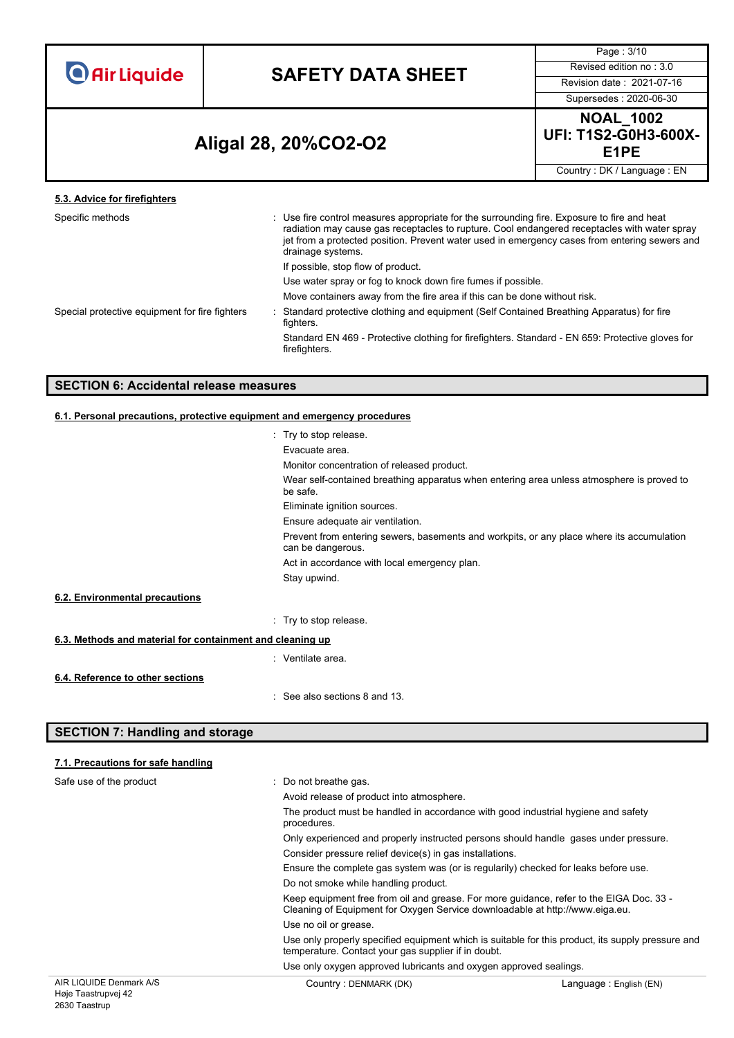### **SAFETY DATA SHEET** Revised edition no : 3.0

Page : 3/10

Supersedes : 2020-06-30

### **E1PE Aligal 28, 20%CO2-O2**

**NOAL\_1002 UFI: T1S2-G0H3-600X-**

Country : DK / Language : EN

| 5.3. Advice for firefighters                   |                                                                                                                                                                                                                                                                                                                 |
|------------------------------------------------|-----------------------------------------------------------------------------------------------------------------------------------------------------------------------------------------------------------------------------------------------------------------------------------------------------------------|
| Specific methods                               | Use fire control measures appropriate for the surrounding fire. Exposure to fire and heat<br>radiation may cause gas receptacles to rupture. Cool endangered receptacles with water spray<br>jet from a protected position. Prevent water used in emergency cases from entering sewers and<br>drainage systems. |
|                                                | If possible, stop flow of product.                                                                                                                                                                                                                                                                              |
|                                                | Use water spray or fog to knock down fire fumes if possible.                                                                                                                                                                                                                                                    |
|                                                | Move containers away from the fire area if this can be done without risk.                                                                                                                                                                                                                                       |
| Special protective equipment for fire fighters | Standard protective clothing and equipment (Self Contained Breathing Apparatus) for fire<br>fighters.                                                                                                                                                                                                           |
|                                                | Standard EN 469 - Protective clothing for firefighters. Standard - EN 659: Protective gloves for<br>firefighters.                                                                                                                                                                                               |
|                                                |                                                                                                                                                                                                                                                                                                                 |

### **SECTION 6: Accidental release measures**

#### **6.1. Personal precautions, protective equipment and emergency procedures**

|                                                           | : Try to stop release.                                                                                         |
|-----------------------------------------------------------|----------------------------------------------------------------------------------------------------------------|
|                                                           | Evacuate area.                                                                                                 |
|                                                           | Monitor concentration of released product.                                                                     |
|                                                           | Wear self-contained breathing apparatus when entering area unless atmosphere is proved to<br>be safe.          |
|                                                           | Eliminate ignition sources.                                                                                    |
|                                                           | Ensure adequate air ventilation.                                                                               |
|                                                           | Prevent from entering sewers, basements and workpits, or any place where its accumulation<br>can be dangerous. |
|                                                           | Act in accordance with local emergency plan.                                                                   |
|                                                           | Stay upwind.                                                                                                   |
| 6.2. Environmental precautions                            |                                                                                                                |
|                                                           | : Try to stop release.                                                                                         |
| 6.3. Methods and material for containment and cleaning up |                                                                                                                |
|                                                           | : Ventilate area.                                                                                              |
| 6.4. Reference to other sections                          |                                                                                                                |
|                                                           | : See also sections 8 and 13.                                                                                  |

#### **SECTION 7: Handling and storage**

2630 Taastrup

#### AIR LIQUIDE Denmark A/S Høje Taastrupvej 42 Country : DENMARK (DK) Country : DENMARK (DK) **7.1. Precautions for safe handling** Safe use of the product : Do not breathe gas. Avoid release of product into atmosphere. The product must be handled in accordance with good industrial hygiene and safety procedures. Only experienced and properly instructed persons should handle gases under pressure. Consider pressure relief device(s) in gas installations. Ensure the complete gas system was (or is regularily) checked for leaks before use. Do not smoke while handling product. Keep equipment free from oil and grease. For more guidance, refer to the EIGA Doc. 33 - Cleaning of Equipment for Oxygen Service downloadable at http://www.eiga.eu. Use no oil or grease. Use only properly specified equipment which is suitable for this product, its supply pressure and temperature. Contact your gas supplier if in doubt. Use only oxygen approved lubricants and oxygen approved sealings.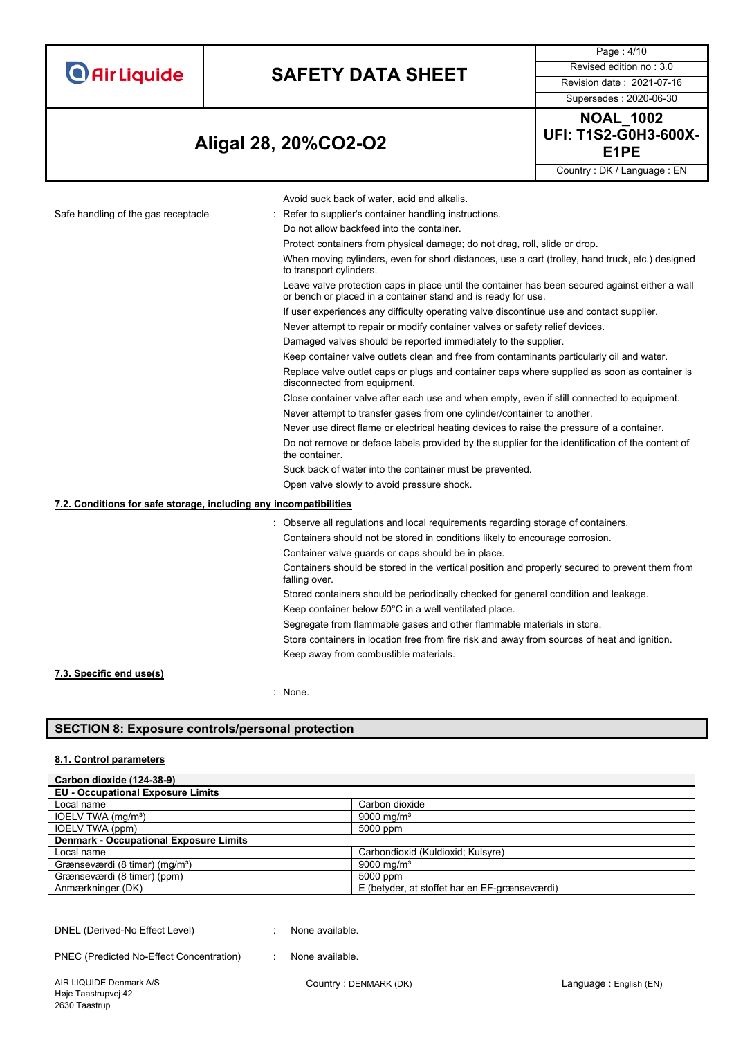| <b>O</b> Air Liquide |  |  |
|----------------------|--|--|
|                      |  |  |

# **SAFETY DATA SHEET** Revised edition no : 3.0

Supersedes : 2020-06-30

Page : 4/10

### **E1PE Aligal 28, 20%CO2-O2**



Country : DK / Language : EN

|                                                                   | Avoid suck back of water, acid and alkalis.                                                                                                                      |
|-------------------------------------------------------------------|------------------------------------------------------------------------------------------------------------------------------------------------------------------|
| Safe handling of the gas receptacle                               | Refer to supplier's container handling instructions.                                                                                                             |
|                                                                   | Do not allow backfeed into the container.                                                                                                                        |
|                                                                   | Protect containers from physical damage; do not drag, roll, slide or drop.                                                                                       |
|                                                                   | When moving cylinders, even for short distances, use a cart (trolley, hand truck, etc.) designed<br>to transport cylinders.                                      |
|                                                                   | Leave valve protection caps in place until the container has been secured against either a wall<br>or bench or placed in a container stand and is ready for use. |
|                                                                   | If user experiences any difficulty operating valve discontinue use and contact supplier.                                                                         |
|                                                                   | Never attempt to repair or modify container valves or safety relief devices.                                                                                     |
|                                                                   | Damaged valves should be reported immediately to the supplier.                                                                                                   |
|                                                                   | Keep container valve outlets clean and free from contaminants particularly oil and water.                                                                        |
|                                                                   | Replace valve outlet caps or plugs and container caps where supplied as soon as container is<br>disconnected from equipment.                                     |
|                                                                   | Close container valve after each use and when empty, even if still connected to equipment.                                                                       |
|                                                                   | Never attempt to transfer gases from one cylinder/container to another.                                                                                          |
|                                                                   | Never use direct flame or electrical heating devices to raise the pressure of a container.                                                                       |
|                                                                   | Do not remove or deface labels provided by the supplier for the identification of the content of<br>the container.                                               |
|                                                                   | Suck back of water into the container must be prevented.                                                                                                         |
|                                                                   | Open valve slowly to avoid pressure shock.                                                                                                                       |
| 7.2. Conditions for safe storage, including any incompatibilities |                                                                                                                                                                  |
|                                                                   | : Observe all regulations and local requirements regarding storage of containers.                                                                                |
|                                                                   | Containers should not be stored in conditions likely to encourage corrosion.                                                                                     |
|                                                                   | Container valve guards or caps should be in place.                                                                                                               |
|                                                                   | Containers should be stored in the vertical position and properly secured to prevent them from<br>falling over.                                                  |
|                                                                   | Stored containers should be periodically checked for general condition and leakage.                                                                              |
|                                                                   | Keep container below 50°C in a well ventilated place.                                                                                                            |
|                                                                   | Segregate from flammable gases and other flammable materials in store.                                                                                           |
|                                                                   | Store containers in location free from fire risk and away from sources of heat and ignition.                                                                     |
|                                                                   | Keep away from combustible materials.                                                                                                                            |
| 7.3. Specific end use(s)                                          |                                                                                                                                                                  |
|                                                                   |                                                                                                                                                                  |

: None.

#### **SECTION 8: Exposure controls/personal protection**

#### **8.1. Control parameters**

| Carbon dioxide (124-38-9)                     |                                               |
|-----------------------------------------------|-----------------------------------------------|
| <b>EU - Occupational Exposure Limits</b>      |                                               |
| Local name                                    | Carbon dioxide                                |
| IOELV TWA (mg/m <sup>3</sup> )                | 9000 mg/m <sup>3</sup>                        |
| IOELV TWA (ppm)                               | 5000 ppm                                      |
| <b>Denmark - Occupational Exposure Limits</b> |                                               |
| Local name                                    | Carbondioxid (Kuldioxid; Kulsyre)             |
| Grænseværdi (8 timer) (mg/m <sup>3</sup> )    | 9000 mg/m <sup>3</sup>                        |
| Grænseværdi (8 timer) (ppm)                   | 5000 ppm                                      |
| Anmærkninger (DK)                             | E (betyder, at stoffet har en EF-grænseværdi) |

DNEL (Derived-No Effect Level) : None available.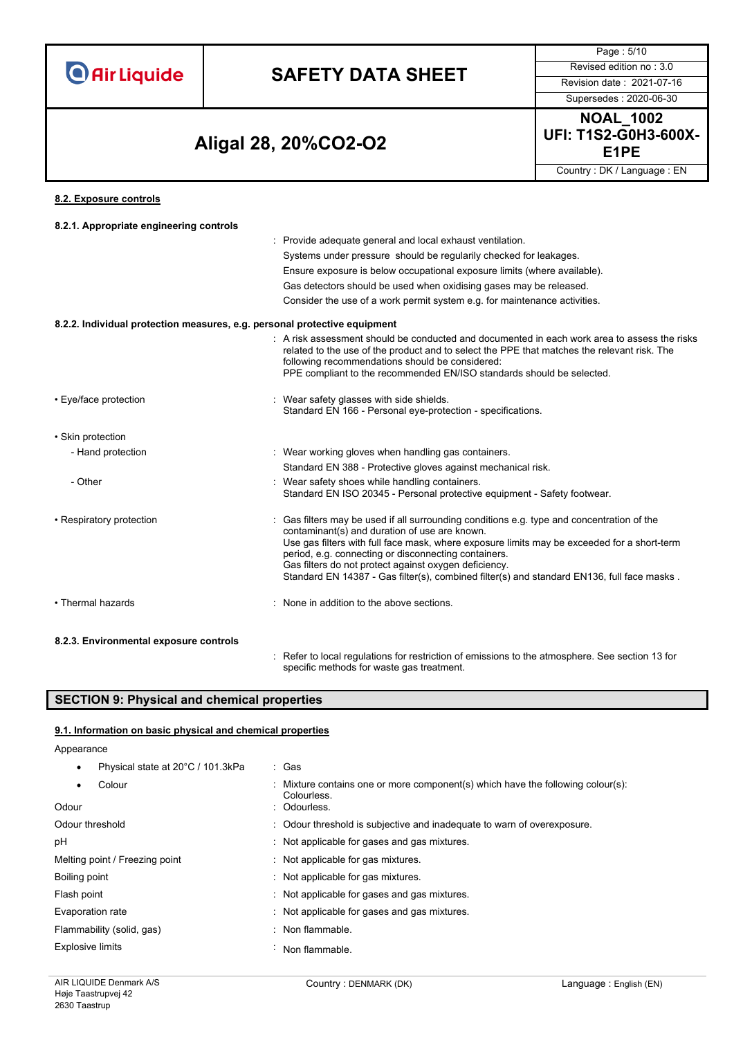# **SAFETY DATA SHEET** Revised edition no : 3.0

Supersedes : 2020-06-30

Page : 5/10

### **E1PE Aligal 28, 20%CO2-O2**

**NOAL\_1002 UFI: T1S2-G0H3-600X-**

Country : DK / Language : EN

#### **8.2. Exposure controls**

| 8.2.1. Appropriate engineering controls                                   |                                                                                                                                                                                                                                                                                                                                                                                                                                                           |
|---------------------------------------------------------------------------|-----------------------------------------------------------------------------------------------------------------------------------------------------------------------------------------------------------------------------------------------------------------------------------------------------------------------------------------------------------------------------------------------------------------------------------------------------------|
|                                                                           | : Provide adequate general and local exhaust ventilation.                                                                                                                                                                                                                                                                                                                                                                                                 |
|                                                                           | Systems under pressure should be regularily checked for leakages.                                                                                                                                                                                                                                                                                                                                                                                         |
|                                                                           | Ensure exposure is below occupational exposure limits (where available).                                                                                                                                                                                                                                                                                                                                                                                  |
|                                                                           | Gas detectors should be used when oxidising gases may be released.                                                                                                                                                                                                                                                                                                                                                                                        |
|                                                                           | Consider the use of a work permit system e.g. for maintenance activities.                                                                                                                                                                                                                                                                                                                                                                                 |
| 8.2.2. Individual protection measures, e.g. personal protective equipment |                                                                                                                                                                                                                                                                                                                                                                                                                                                           |
|                                                                           | . A risk assessment should be conducted and documented in each work area to assess the risks<br>related to the use of the product and to select the PPE that matches the relevant risk. The<br>following recommendations should be considered:<br>PPE compliant to the recommended EN/ISO standards should be selected.                                                                                                                                   |
| • Eye/face protection                                                     | : Wear safety glasses with side shields.<br>Standard EN 166 - Personal eye-protection - specifications.                                                                                                                                                                                                                                                                                                                                                   |
| • Skin protection                                                         |                                                                                                                                                                                                                                                                                                                                                                                                                                                           |
| - Hand protection                                                         | : Wear working gloves when handling gas containers.                                                                                                                                                                                                                                                                                                                                                                                                       |
|                                                                           | Standard EN 388 - Protective gloves against mechanical risk.                                                                                                                                                                                                                                                                                                                                                                                              |
| - Other                                                                   | : Wear safety shoes while handling containers.<br>Standard EN ISO 20345 - Personal protective equipment - Safety footwear.                                                                                                                                                                                                                                                                                                                                |
| • Respiratory protection                                                  | : Gas filters may be used if all surrounding conditions e.g. type and concentration of the<br>contaminant(s) and duration of use are known.<br>Use gas filters with full face mask, where exposure limits may be exceeded for a short-term<br>period, e.g. connecting or disconnecting containers.<br>Gas filters do not protect against oxygen deficiency.<br>Standard EN 14387 - Gas filter(s), combined filter(s) and standard EN136, full face masks. |
| • Thermal hazards                                                         | : None in addition to the above sections.                                                                                                                                                                                                                                                                                                                                                                                                                 |
| 8.2.3. Environmental exposure controls                                    | Refer to local regulations for restriction of emissions to the atmosphere. See section 13 for                                                                                                                                                                                                                                                                                                                                                             |
|                                                                           |                                                                                                                                                                                                                                                                                                                                                                                                                                                           |

specific methods for waste gas treatment.

#### **SECTION 9: Physical and chemical properties**

#### **9.1. Information on basic physical and chemical properties**

#### Appearance

| Physical state at 20°C / 101.3kPa | : Gas                                                                                         |
|-----------------------------------|-----------------------------------------------------------------------------------------------|
| Colour                            | : Mixture contains one or more component(s) which have the following colour(s):<br>Colourless |
| Odour                             | : Odourless.                                                                                  |
| Odour threshold                   | : Odour threshold is subjective and inadequate to warn of overexposure.                       |
| рH                                | : Not applicable for gases and gas mixtures.                                                  |
| Melting point / Freezing point    | : Not applicable for gas mixtures.                                                            |
| Boiling point                     | : Not applicable for gas mixtures.                                                            |
| Flash point                       | : Not applicable for gases and gas mixtures.                                                  |
| Evaporation rate                  | : Not applicable for gases and gas mixtures.                                                  |
| Flammability (solid, gas)         | : Non flammable.                                                                              |
| <b>Explosive limits</b>           | Non flammable.                                                                                |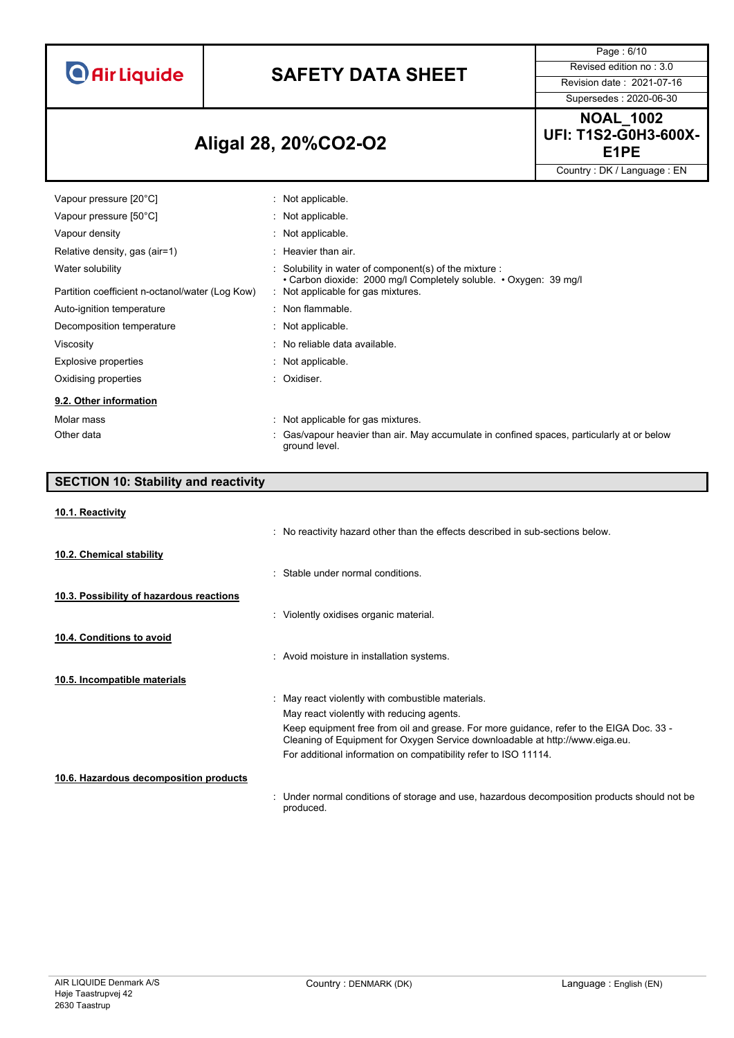### **SAFETY DATA SHEET** Revised edition no : 3.0

Supersedes : 2020-06-30

Page : 6/10

### **E1PE Aligal 28, 20%CO2-O2**

**NOAL\_1002 UFI: T1S2-G0H3-600X-**

Country : DK / Language : EN

| Vapour pressure [20°C]                          | : Not applicable.                                                                                                                                 |
|-------------------------------------------------|---------------------------------------------------------------------------------------------------------------------------------------------------|
| Vapour pressure [50°C]                          | : Not applicable.                                                                                                                                 |
| Vapour density                                  | : Not applicable.                                                                                                                                 |
| Relative density, gas (air=1)                   | : Heavier than air.                                                                                                                               |
| Water solubility                                | $\therefore$ Solubility in water of component(s) of the mixture $\therefore$<br>• Carbon dioxide: 2000 mg/l Completely soluble. • Oxygen: 39 mg/l |
| Partition coefficient n-octanol/water (Log Kow) | : Not applicable for gas mixtures.                                                                                                                |
| Auto-ignition temperature                       | : Non flammable.                                                                                                                                  |
| Decomposition temperature                       | : Not applicable.                                                                                                                                 |
| Viscosity                                       | : No reliable data available.                                                                                                                     |
| Explosive properties                            | : Not applicable.                                                                                                                                 |
| Oxidising properties                            | : Oxidiser.                                                                                                                                       |
| 9.2. Other information                          |                                                                                                                                                   |
| Molar mass                                      | : Not applicable for gas mixtures.                                                                                                                |
| Other data                                      | : Gas/vapour heavier than air. May accumulate in confined spaces, particularly at or below<br>around level.                                       |

### **SECTION 10: Stability and reactivity 10.1. Reactivity** : No reactivity hazard other than the effects described in sub-sections below. **10.2. Chemical stability** : Stable under normal conditions. **10.3. Possibility of hazardous reactions** : Violently oxidises organic material. **10.4. Conditions to avoid** : Avoid moisture in installation systems. **10.5. Incompatible materials** : May react violently with combustible materials. May react violently with reducing agents. Keep equipment free from oil and grease. For more guidance, refer to the EIGA Doc. 33 - Cleaning of Equipment for Oxygen Service downloadable at http://www.eiga.eu. For additional information on compatibility refer to ISO 11114. **10.6. Hazardous decomposition products**

: Under normal conditions of storage and use, hazardous decomposition products should not be

produced.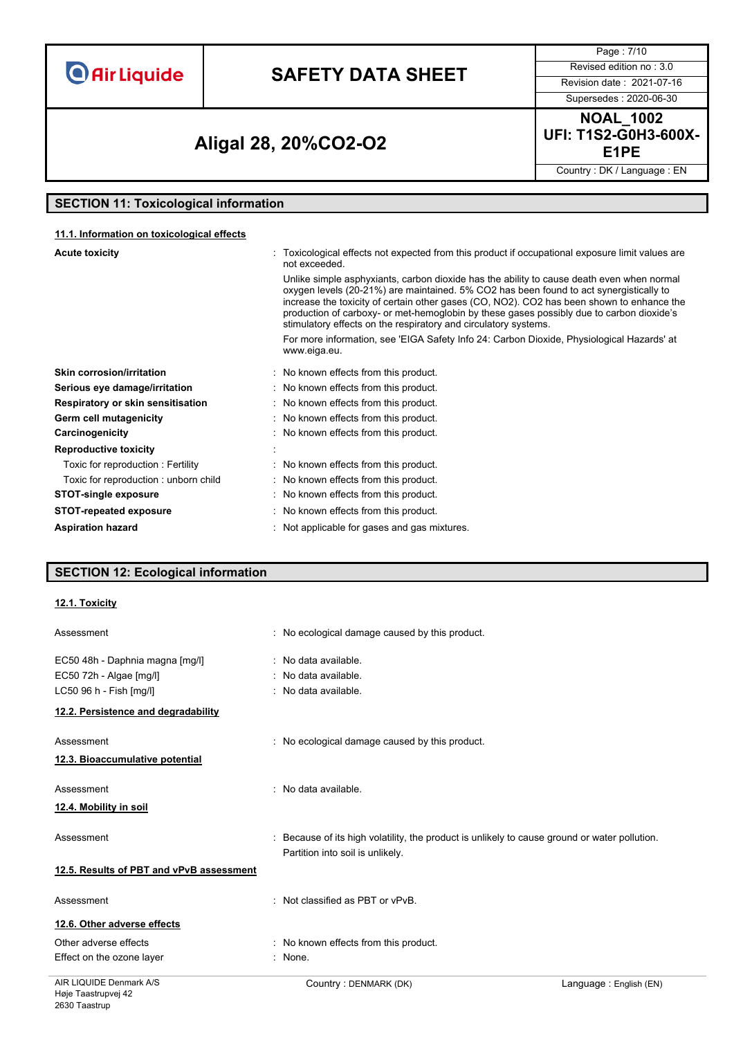# **SAFETY DATA SHEET** Revised edition no : 3.0

Supersedes : 2020-06-30

Page : 7/10

### **E1PE Aligal 28, 20%CO2-O2**

**NOAL\_1002 UFI: T1S2-G0H3-600X-**

Country : DK / Language : EN

### **SECTION 11: Toxicological information**

#### **11.1. Information on toxicological effects**

| <b>Acute toxicity</b>                | : Toxicological effects not expected from this product if occupational exposure limit values are<br>not exceeded.                                                                                                                                                                                                                                                                                                                               |
|--------------------------------------|-------------------------------------------------------------------------------------------------------------------------------------------------------------------------------------------------------------------------------------------------------------------------------------------------------------------------------------------------------------------------------------------------------------------------------------------------|
|                                      | Unlike simple asphyxiants, carbon dioxide has the ability to cause death even when normal<br>oxygen levels (20-21%) are maintained. 5% CO2 has been found to act synergistically to<br>increase the toxicity of certain other gases (CO, NO2). CO2 has been shown to enhance the<br>production of carboxy- or met-hemoglobin by these gases possibly due to carbon dioxide's<br>stimulatory effects on the respiratory and circulatory systems. |
|                                      | For more information, see 'EIGA Safety Info 24: Carbon Dioxide, Physiological Hazards' at<br>www.eiga.eu.                                                                                                                                                                                                                                                                                                                                       |
| <b>Skin corrosion/irritation</b>     | : No known effects from this product.                                                                                                                                                                                                                                                                                                                                                                                                           |
| Serious eye damage/irritation        | : No known effects from this product.                                                                                                                                                                                                                                                                                                                                                                                                           |
| Respiratory or skin sensitisation    | : No known effects from this product.                                                                                                                                                                                                                                                                                                                                                                                                           |
| Germ cell mutagenicity               | : No known effects from this product.                                                                                                                                                                                                                                                                                                                                                                                                           |
| Carcinogenicity                      | : No known effects from this product.                                                                                                                                                                                                                                                                                                                                                                                                           |
| <b>Reproductive toxicity</b>         |                                                                                                                                                                                                                                                                                                                                                                                                                                                 |
| Toxic for reproduction: Fertility    | : No known effects from this product.                                                                                                                                                                                                                                                                                                                                                                                                           |
| Toxic for reproduction: unborn child | : No known effects from this product.                                                                                                                                                                                                                                                                                                                                                                                                           |
| <b>STOT-single exposure</b>          | : No known effects from this product.                                                                                                                                                                                                                                                                                                                                                                                                           |
| <b>STOT-repeated exposure</b>        | : No known effects from this product.                                                                                                                                                                                                                                                                                                                                                                                                           |
| <b>Aspiration hazard</b>             | Not applicable for gases and gas mixtures.                                                                                                                                                                                                                                                                                                                                                                                                      |

#### **SECTION 12: Ecological information**

#### **12.1. Toxicity**

| Assessment                               | : No ecological damage caused by this product.                                                                                    |
|------------------------------------------|-----------------------------------------------------------------------------------------------------------------------------------|
| EC50 48h - Daphnia magna [mg/l]          | : No data available.                                                                                                              |
| EC50 72h - Algae [mg/l]                  | No data available.                                                                                                                |
| LC50 96 h - Fish [mg/l]                  | : No data available.                                                                                                              |
| 12.2. Persistence and degradability      |                                                                                                                                   |
| Assessment                               | : No ecological damage caused by this product.                                                                                    |
| 12.3. Bioaccumulative potential          |                                                                                                                                   |
| Assessment                               | : No data available.                                                                                                              |
| <u>12.4. Mobility in soil</u>            |                                                                                                                                   |
| Assessment                               | : Because of its high volatility, the product is unlikely to cause ground or water pollution.<br>Partition into soil is unlikely. |
| 12.5. Results of PBT and vPvB assessment |                                                                                                                                   |
| Assessment                               | : Not classified as PBT or vPvB.                                                                                                  |
| 12.6. Other adverse effects              |                                                                                                                                   |
| Other adverse effects                    | : No known effects from this product.                                                                                             |
| Effect on the ozone layer                | : None.                                                                                                                           |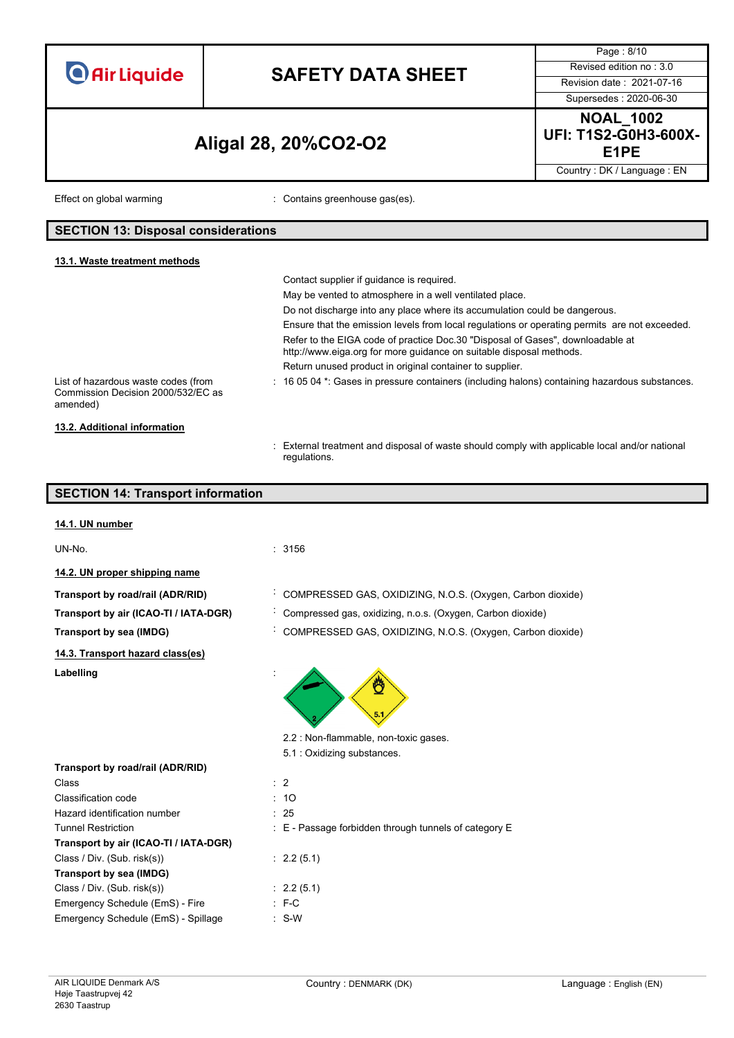|                                                                                                                                                                                                                                 |                                                                                                | Page: 8/10                                       |
|---------------------------------------------------------------------------------------------------------------------------------------------------------------------------------------------------------------------------------|------------------------------------------------------------------------------------------------|--------------------------------------------------|
|                                                                                                                                                                                                                                 |                                                                                                | Revised edition no: 3.0                          |
| <b>O</b> Air Liquide                                                                                                                                                                                                            | <b>SAFETY DATA SHEET</b>                                                                       | Revision date: 2021-07-16                        |
|                                                                                                                                                                                                                                 |                                                                                                | Supersedes: 2020-06-30                           |
|                                                                                                                                                                                                                                 |                                                                                                | <b>NOAL_1002</b>                                 |
|                                                                                                                                                                                                                                 | Aligal 28, 20%CO2-O2                                                                           | <b>UFI: T1S2-G0H3-600X-</b><br>E <sub>1</sub> PE |
|                                                                                                                                                                                                                                 |                                                                                                | Country: DK / Language: EN                       |
| Effect on global warming                                                                                                                                                                                                        | : Contains greenhouse gas(es).                                                                 |                                                  |
| <b>SECTION 13: Disposal considerations</b>                                                                                                                                                                                      |                                                                                                |                                                  |
| 13.1. Waste treatment methods                                                                                                                                                                                                   |                                                                                                |                                                  |
|                                                                                                                                                                                                                                 | Contact supplier if guidance is required.                                                      |                                                  |
|                                                                                                                                                                                                                                 | May be vented to atmosphere in a well ventilated place.                                        |                                                  |
|                                                                                                                                                                                                                                 | Do not discharge into any place where its accumulation could be dangerous.                     |                                                  |
|                                                                                                                                                                                                                                 | Ensure that the emission levels from local regulations or operating permits are not exceeded.  |                                                  |
|                                                                                                                                                                                                                                 | Refer to the EIGA code of practice Doc.30 "Disposal of Gases", downloadable at                 |                                                  |
|                                                                                                                                                                                                                                 | http://www.eiga.org for more guidance on suitable disposal methods.                            |                                                  |
|                                                                                                                                                                                                                                 | Return unused product in original container to supplier.                                       |                                                  |
| List of hazardous waste codes (from                                                                                                                                                                                             | : 16 05 04 *: Gases in pressure containers (including halons) containing hazardous substances. |                                                  |
| Commission Decision 2000/532/EC as                                                                                                                                                                                              |                                                                                                |                                                  |
| amended)                                                                                                                                                                                                                        |                                                                                                |                                                  |
| 13.2. Additional information                                                                                                                                                                                                    |                                                                                                |                                                  |
|                                                                                                                                                                                                                                 | : External treatment and disposal of waste should comply with applicable local and/or national |                                                  |
|                                                                                                                                                                                                                                 | regulations.                                                                                   |                                                  |
|                                                                                                                                                                                                                                 |                                                                                                |                                                  |
|                                                                                                                                                                                                                                 |                                                                                                |                                                  |
| <b>SECTION 14: Transport information</b>                                                                                                                                                                                        |                                                                                                |                                                  |
| 14.1. UN number                                                                                                                                                                                                                 |                                                                                                |                                                  |
| UN-No.                                                                                                                                                                                                                          | : 3156                                                                                         |                                                  |
| 14.2. UN proper shipping name                                                                                                                                                                                                   |                                                                                                |                                                  |
|                                                                                                                                                                                                                                 |                                                                                                |                                                  |
| Transport by road/rail (ADR/RID)                                                                                                                                                                                                | COMPRESSED GAS, OXIDIZING, N.O.S. (Oxygen, Carbon dioxide)                                     |                                                  |
|                                                                                                                                                                                                                                 | Compressed gas, oxidizing, n.o.s. (Oxygen, Carbon dioxide)                                     |                                                  |
|                                                                                                                                                                                                                                 | COMPRESSED GAS, OXIDIZING, N.O.S. (Oxygen, Carbon dioxide)                                     |                                                  |
| Transport by air (ICAO-TI / IATA-DGR)<br>Transport by sea (IMDG)<br>14.3. Transport hazard class(es)                                                                                                                            |                                                                                                |                                                  |
| Labelling                                                                                                                                                                                                                       |                                                                                                |                                                  |
|                                                                                                                                                                                                                                 |                                                                                                |                                                  |
|                                                                                                                                                                                                                                 | 2.2 : Non-flammable, non-toxic gases.                                                          |                                                  |
|                                                                                                                                                                                                                                 | 5.1 : Oxidizing substances.                                                                    |                                                  |
|                                                                                                                                                                                                                                 |                                                                                                |                                                  |
|                                                                                                                                                                                                                                 | $\therefore$ 2                                                                                 |                                                  |
|                                                                                                                                                                                                                                 | : 10                                                                                           |                                                  |
|                                                                                                                                                                                                                                 | : 25                                                                                           |                                                  |
| Class<br><b>Classification code</b>                                                                                                                                                                                             | : E - Passage forbidden through tunnels of category E                                          |                                                  |
|                                                                                                                                                                                                                                 |                                                                                                |                                                  |
|                                                                                                                                                                                                                                 | : 2.2(5.1)                                                                                     |                                                  |
|                                                                                                                                                                                                                                 |                                                                                                |                                                  |
| Transport by road/rail (ADR/RID)<br>Hazard identification number<br><b>Tunnel Restriction</b><br>Transport by air (ICAO-TI / IATA-DGR)<br>Class / Div. (Sub. risk(s))<br>Transport by sea (IMDG)<br>Class / Div. (Sub. risk(s)) | : 2.2(5.1)                                                                                     |                                                  |
| Emergency Schedule (EmS) - Fire<br>Emergency Schedule (EmS) - Spillage                                                                                                                                                          | $: F-C$<br>$\therefore$ S-W                                                                    |                                                  |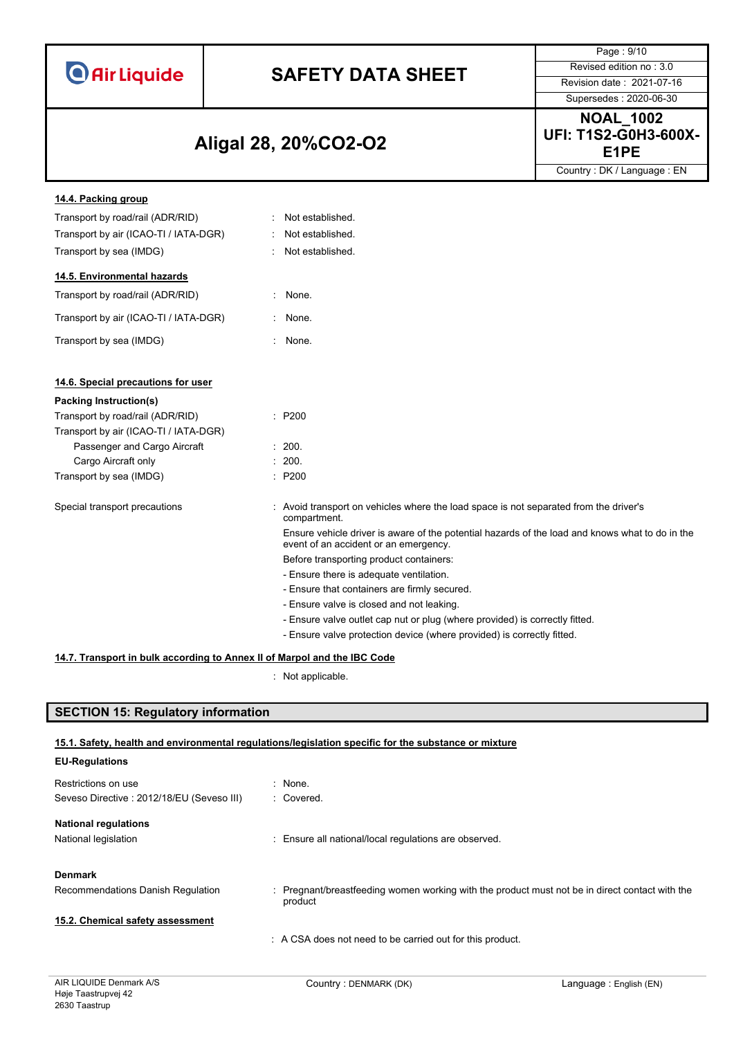|  | <b>O</b> Air Liquide |  |
|--|----------------------|--|
|  |                      |  |

# **SAFETY DATA SHEET** Revised edition no : 3.0

Supersedes : 2020-06-30

Page : 9/10

### **E1PE Aligal 28, 20%CO2-O2**

**NOAL\_1002 UFI: T1S2-G0H3-600X-**

Country : DK / Language : EN

| 14.4. Packing group                   |    |                                                                                                                                          |
|---------------------------------------|----|------------------------------------------------------------------------------------------------------------------------------------------|
| Transport by road/rail (ADR/RID)      |    | Not established.                                                                                                                         |
| Transport by air (ICAO-TI / IATA-DGR) |    | Not established.                                                                                                                         |
| Transport by sea (IMDG)               |    | Not established.                                                                                                                         |
| 14.5. Environmental hazards           |    |                                                                                                                                          |
| Transport by road/rail (ADR/RID)      | t. | None.                                                                                                                                    |
| Transport by air (ICAO-TI / IATA-DGR) |    | None.                                                                                                                                    |
| Transport by sea (IMDG)               | ÷. | None.                                                                                                                                    |
| 14.6. Special precautions for user    |    |                                                                                                                                          |
| Packing Instruction(s)                |    |                                                                                                                                          |
| Transport by road/rail (ADR/RID)      |    | $\therefore$ P200                                                                                                                        |
| Transport by air (ICAO-TI / IATA-DGR) |    |                                                                                                                                          |
| Passenger and Cargo Aircraft          |    | : 200.                                                                                                                                   |
| Cargo Aircraft only                   |    | : 200.                                                                                                                                   |
| Transport by sea (IMDG)               |    | : P200                                                                                                                                   |
| Special transport precautions         |    | : Avoid transport on vehicles where the load space is not separated from the driver's<br>compartment.                                    |
|                                       |    | Ensure vehicle driver is aware of the potential hazards of the load and knows what to do in the<br>event of an accident or an emergency. |
|                                       |    | Before transporting product containers:                                                                                                  |
|                                       |    | - Ensure there is adequate ventilation.                                                                                                  |
|                                       |    | - Ensure that containers are firmly secured.                                                                                             |
|                                       |    | - Ensure valve is closed and not leaking.                                                                                                |
|                                       |    | - Ensure valve outlet cap nut or plug (where provided) is correctly fitted.                                                              |
|                                       |    | - Ensure valve protection device (where provided) is correctly fitted.                                                                   |

#### **14.7. Transport in bulk according to Annex II of Marpol and the IBC Code**

: Not applicable.

### **SECTION 15: Regulatory information**

#### **15.1. Safety, health and environmental regulations/legislation specific for the substance or mixture**

| <b>EU-Regulations</b>                     |                                                                                                           |
|-------------------------------------------|-----------------------------------------------------------------------------------------------------------|
| Restrictions on use                       | : None.                                                                                                   |
| Seveso Directive: 2012/18/EU (Seveso III) | : Covered.                                                                                                |
| <b>National regulations</b>               |                                                                                                           |
| National legislation                      | : Ensure all national/local regulations are observed.                                                     |
| <b>Denmark</b>                            |                                                                                                           |
| Recommendations Danish Regulation         | : Pregnant/breastfeeding women working with the product must not be in direct contact with the<br>product |
| 15.2. Chemical safety assessment          |                                                                                                           |
|                                           | A CSA does not need to be carried out for this product.                                                   |